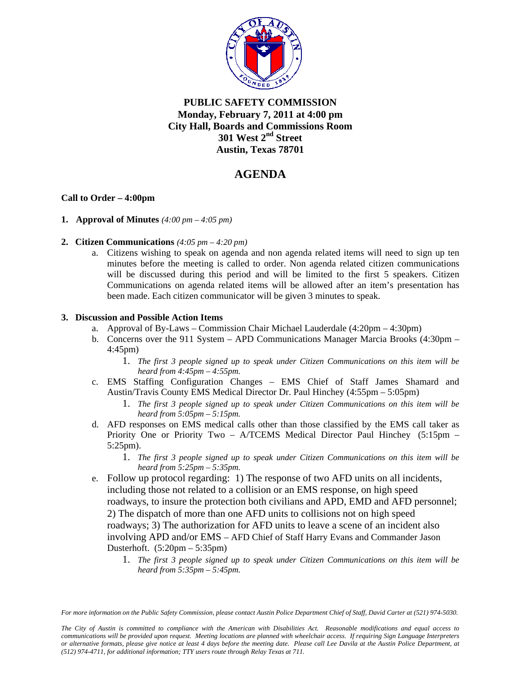

## **PUBLIC SAFETY COMMISSION Monday, February 7, 2011 at 4:00 pm City Hall, Boards and Commissions Room 301 West 2nd Street Austin, Texas 78701**

# **AGENDA**

### **Call to Order – 4:00pm**

- **1. Approval of Minutes** *(4:00 pm 4:05 pm)*
- **2. Citizen Communications** *(4:05 pm 4:20 pm)* 
	- a. Citizens wishing to speak on agenda and non agenda related items will need to sign up ten minutes before the meeting is called to order. Non agenda related citizen communications will be discussed during this period and will be limited to the first 5 speakers. Citizen Communications on agenda related items will be allowed after an item's presentation has been made. Each citizen communicator will be given 3 minutes to speak.

#### **3. Discussion and Possible Action Items**

- a. Approval of By-Laws Commission Chair Michael Lauderdale (4:20pm 4:30pm)
- b. Concerns over the 911 System APD Communications Manager Marcia Brooks (4:30pm 4:45pm)
	- 1. *The first 3 people signed up to speak under Citizen Communications on this item will be heard from 4:45pm – 4:55pm.*
- c. EMS Staffing Configuration Changes EMS Chief of Staff James Shamard and Austin/Travis County EMS Medical Director Dr. Paul Hinchey (4:55pm – 5:05pm)
	- 1. *The first 3 people signed up to speak under Citizen Communications on this item will be heard from 5:05pm – 5:15pm.*
- d. AFD responses on EMS medical calls other than those classified by the EMS call taker as Priority One or Priority Two – A/TCEMS Medical Director Paul Hinchey (5:15pm – 5:25pm).
	- 1. *The first 3 people signed up to speak under Citizen Communications on this item will be heard from 5:25pm – 5:35pm.*
- e. Follow up protocol regarding: 1) The response of two AFD units on all incidents, including those not related to a collision or an EMS response, on high speed roadways, to insure the protection both civilians and APD, EMD and AFD personnel; 2) The dispatch of more than one AFD units to collisions not on high speed roadways; 3) The authorization for AFD units to leave a scene of an incident also involving APD and/or EMS – AFD Chief of Staff Harry Evans and Commander Jason Dusterhoft. (5:20pm – 5:35pm)
	- 1. *The first 3 people signed up to speak under Citizen Communications on this item will be heard from 5:35pm – 5:45pm.*

*For more information on the Public Safety Commission, please contact Austin Police Department Chief of Staff, David Carter at (521) 974-5030.* 

*The City of Austin is committed to compliance with the American with Disabilities Act. Reasonable modifications and equal access to communications will be provided upon request. Meeting locations are planned with wheelchair access. If requiring Sign Language Interpreters or alternative formats, please give notice at least 4 days before the meeting date. Please call Lee Davila at the Austin Police Department, at (512) 974-4711, for additional information; TTY users route through Relay Texas at 711.*